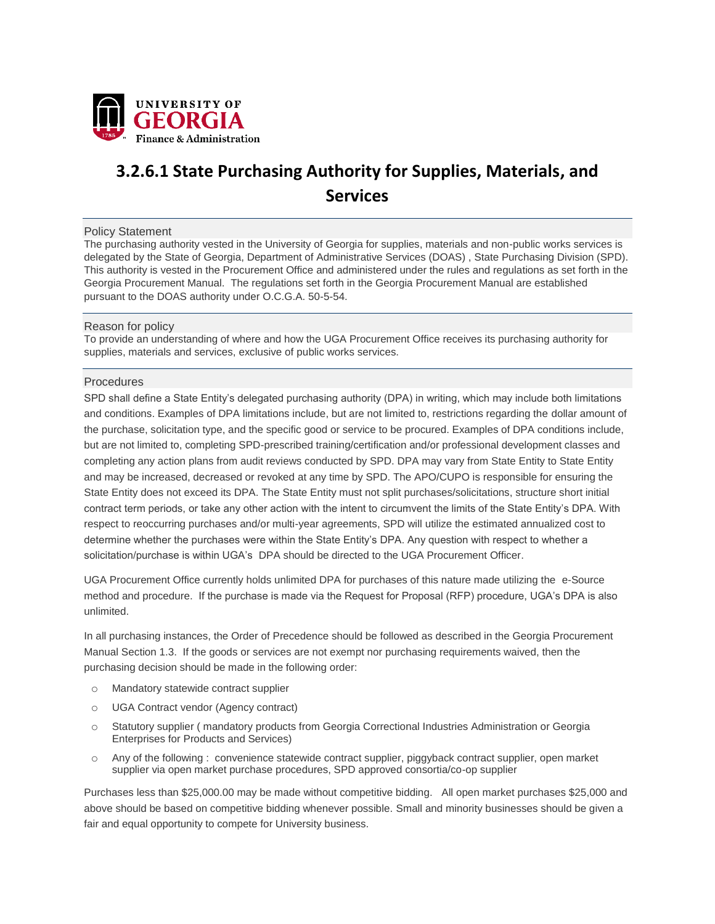

# **3.2.6.1 State Purchasing Authority for Supplies, Materials, and Services**

#### Policy Statement

The purchasing authority vested in the University of Georgia for supplies, materials and non-public works services is delegated by the State of Georgia, Department of Administrative Services (DOAS) , State Purchasing Division (SPD). This authority is vested in the Procurement Office and administered under the rules and regulations as set forth in the Georgia Procurement Manual. The regulations set forth in the Georgia Procurement Manual are established pursuant to the DOAS authority under O.C.G.A. 50-5-54.

## Reason for policy

To provide an understanding of where and how the UGA Procurement Office receives its purchasing authority for supplies, materials and services, exclusive of public works services.

## Procedures

SPD shall define a State Entity's delegated purchasing authority (DPA) in writing, which may include both limitations and conditions. Examples of DPA limitations include, but are not limited to, restrictions regarding the dollar amount of the purchase, solicitation type, and the specific good or service to be procured. Examples of DPA conditions include, but are not limited to, completing SPD-prescribed training/certification and/or professional development classes and completing any action plans from audit reviews conducted by SPD. DPA may vary from State Entity to State Entity and may be increased, decreased or revoked at any time by SPD. The APO/CUPO is responsible for ensuring the State Entity does not exceed its DPA. The State Entity must not split purchases/solicitations, structure short initial contract term periods, or take any other action with the intent to circumvent the limits of the State Entity's DPA. With respect to reoccurring purchases and/or multi-year agreements, SPD will utilize the estimated annualized cost to determine whether the purchases were within the State Entity's DPA. Any question with respect to whether a solicitation/purchase is within UGA's DPA should be directed to the UGA Procurement Officer.

UGA Procurement Office currently holds unlimited DPA for purchases of this nature made utilizing the e-Source method and procedure. If the purchase is made via the Request for Proposal (RFP) procedure, UGA's DPA is also unlimited.

In all purchasing instances, the Order of Precedence should be followed as described in the Georgia Procurement Manual Section 1.3. If the goods or services are not exempt nor purchasing requirements waived, then the purchasing decision should be made in the following order:

- o Mandatory statewide contract supplier
- o UGA Contract vendor (Agency contract)
- o Statutory supplier ( mandatory products from Georgia Correctional Industries Administration or Georgia Enterprises for Products and Services)
- o Any of the following : convenience statewide contract supplier, piggyback contract supplier, open market supplier via open market purchase procedures, SPD approved consortia/co-op supplier

Purchases less than \$25,000.00 may be made without competitive bidding. All open market purchases \$25,000 and above should be based on competitive bidding whenever possible. Small and minority businesses should be given a fair and equal opportunity to compete for University business.